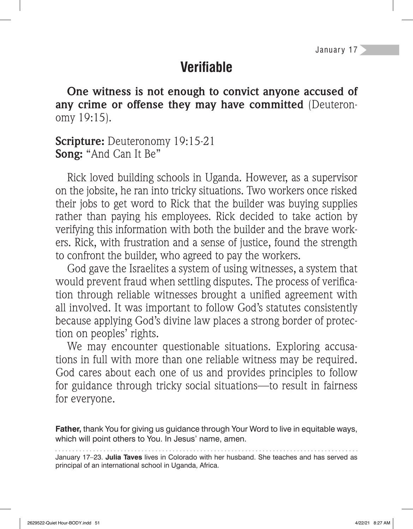## **Verifi able**

**One witness is not enough to convict anyone accused of any crime or offense they may have committed** (Deuteronomy 19:15).

**Scripture:** Deuteronomy 19:15-21 **Song:** "And Can It Be"

Rick loved building schools in Uganda. However, as a supervisor on the jobsite, he ran into tricky situations. Two workers once risked their jobs to get word to Rick that the builder was buying supplies rather than paying his employees. Rick decided to take action by verifying this information with both the builder and the brave workers. Rick, with frustration and a sense of justice, found the strength to confront the builder, who agreed to pay the workers.

God gave the Israelites a system of using witnesses, a system that would prevent fraud when settling disputes. The process of verification through reliable witnesses brought a unified agreement with all involved. It was important to follow God's statutes consistently because applying God's divine law places a strong border of protection on peoples' rights.

We may encounter questionable situations. Exploring accusations in full with more than one reliable witness may be required. God cares about each one of us and provides principles to follow for guidance through tricky social situations—to result in fairness for everyone.

**Father,** thank You for giving us guidance through Your Word to live in equitable ways, which will point others to You. In Jesus' name, amen.

January 17–23. **Julia Taves** lives in Colorado with her husband. She teaches and has served as principal of an international school in Uganda, Africa.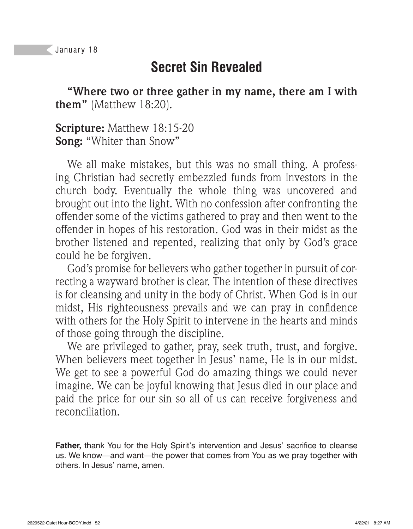## **Secret Sin Revealed**

**"Where two or three gather in my name, there am I with them"** (Matthew 18:20).

**Scripture:** Matthew 18:15-20 **Song:** "Whiter than Snow"

We all make mistakes, but this was no small thing. A professing Christian had secretly embezzled funds from investors in the church body. Eventually the whole thing was uncovered and brought out into the light. With no confession after confronting the offender some of the victims gathered to pray and then went to the offender in hopes of his restoration. God was in their midst as the brother listened and repented, realizing that only by God's grace could he be forgiven.

God's promise for believers who gather together in pursuit of correcting a wayward brother is clear. The intention of these directives is for cleansing and unity in the body of Christ. When God is in our midst, His righteousness prevails and we can pray in confidence with others for the Holy Spirit to intervene in the hearts and minds of those going through the discipline.

We are privileged to gather, pray, seek truth, trust, and forgive. When believers meet together in Jesus' name, He is in our midst. We get to see a powerful God do amazing things we could never imagine. We can be joyful knowing that Jesus died in our place and paid the price for our sin so all of us can receive forgiveness and reconciliation.

Father, thank You for the Holy Spirit's intervention and Jesus' sacrifice to cleanse us. We know—and want—the power that comes from You as we pray together with others. In Jesus' name, amen.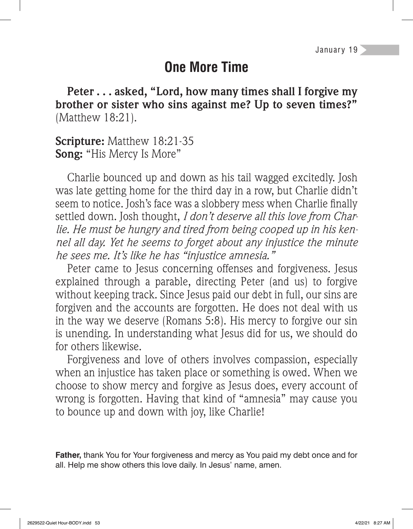## **One More Time**

**Peter . . . asked, "Lord, how many times shall I forgive my brother or sister who sins against me? Up to seven times?"**  (Matthew 18:21).

**Scripture:** Matthew 18:21-35 **Song:** "His Mercy Is More"

Charlie bounced up and down as his tail wagged excitedly. Josh was late getting home for the third day in a row, but Charlie didn't seem to notice. Josh's face was a slobbery mess when Charlie finally settled down. Josh thought, *I don't deserve all this love from Charlie. He must be hungry and tired from being cooped up in his kennel all day. Yet he seems to forget about any injustice the minute he sees me. It's like he has "injustice amnesia."*

Peter came to Jesus concerning offenses and forgiveness. Jesus explained through a parable, directing Peter (and us) to forgive without keeping track. Since Jesus paid our debt in full, our sins are forgiven and the accounts are forgotten. He does not deal with us in the way we deserve (Romans 5:8). His mercy to forgive our sin is unending. In understanding what Jesus did for us, we should do for others likewise.

Forgiveness and love of others involves compassion, especially when an injustice has taken place or something is owed. When we choose to show mercy and forgive as Jesus does, every account of wrong is forgotten. Having that kind of "amnesia" may cause you to bounce up and down with joy, like Charlie!

**Father,** thank You for Your forgiveness and mercy as You paid my debt once and for all. Help me show others this love daily. In Jesus' name, amen.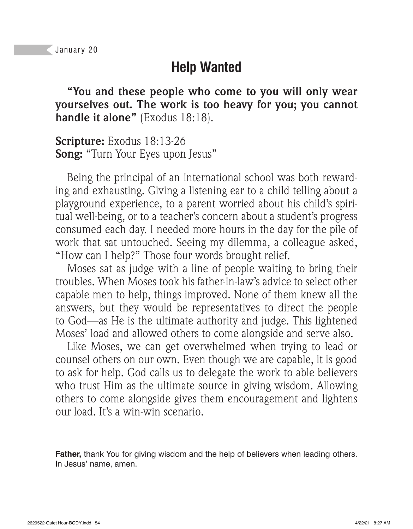# **Help Wanted**

**"You and these people who come to you will only wear yourselves out. The work is too heavy for you; you cannot handle it alone"** (Exodus 18:18).

**Scripture:** Exodus 18:13-26 **Song:** "Turn Your Eyes upon Jesus"

Being the principal of an international school was both rewarding and exhausting. Giving a listening ear to a child telling about a playground experience, to a parent worried about his child's spiritual well-being, or to a teacher's concern about a student's progress consumed each day. I needed more hours in the day for the pile of work that sat untouched. Seeing my dilemma, a colleague asked, "How can I help?" Those four words brought relief.

Moses sat as judge with a line of people waiting to bring their troubles. When Moses took his father-in-law's advice to select other capable men to help, things improved. None of them knew all the answers, but they would be representatives to direct the people to God—as He is the ultimate authority and judge. This lightened Moses' load and allowed others to come alongside and serve also.

Like Moses, we can get overwhelmed when trying to lead or counsel others on our own. Even though we are capable, it is good to ask for help. God calls us to delegate the work to able believers who trust Him as the ultimate source in giving wisdom. Allowing others to come alongside gives them encouragement and lightens our load. It's a win-win scenario.

**Father,** thank You for giving wisdom and the help of believers when leading others. In Jesus' name, amen.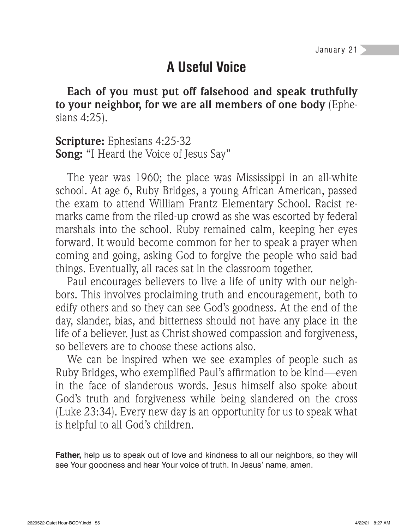# **A Useful Voice**

**Each of you must put off falsehood and speak truthfully to your neighbor, for we are all members of one body** (Ephesians 4:25).

**Scripture:** Ephesians 4:25-32 **Song:** "I Heard the Voice of Jesus Say"

The year was 1960; the place was Mississippi in an all-white school. At age 6, Ruby Bridges, a young African American, passed the exam to attend William Frantz Elementary School. Racist remarks came from the riled-up crowd as she was escorted by federal marshals into the school. Ruby remained calm, keeping her eyes forward. It would become common for her to speak a prayer when coming and going, asking God to forgive the people who said bad things. Eventually, all races sat in the classroom together.

Paul encourages believers to live a life of unity with our neighbors. This involves proclaiming truth and encouragement, both to edify others and so they can see God's goodness. At the end of the day, slander, bias, and bitterness should not have any place in the life of a believer. Just as Christ showed compassion and forgiveness, so believers are to choose these actions also.

We can be inspired when we see examples of people such as Ruby Bridges, who exemplified Paul's affirmation to be kind—even in the face of slanderous words. Jesus himself also spoke about God's truth and forgiveness while being slandered on the cross (Luke 23:34). Every new day is an opportunity for us to speak what is helpful to all God's children.

**Father,** help us to speak out of love and kindness to all our neighbors, so they will see Your goodness and hear Your voice of truth. In Jesus' name, amen.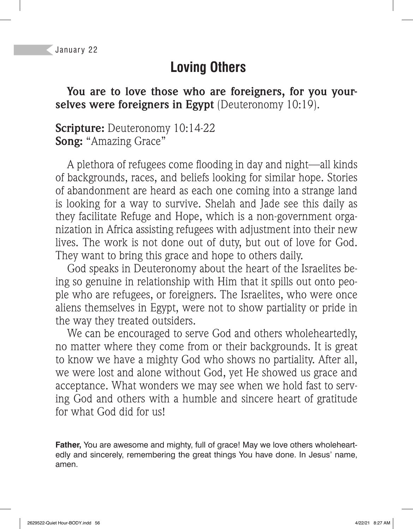# **Loving Others**

**You are to love those who are foreigners, for you your**selves were foreigners in Egypt (Deuteronomy 10:19).

#### **Scripture:** Deuteronomy 10:14-22 **Song:** "Amazing Grace"

A plethora of refugees come flooding in day and night—all kinds of backgrounds, races, and beliefs looking for similar hope. Stories of abandonment are heard as each one coming into a strange land is looking for a way to survive. Shelah and Jade see this daily as they facilitate Refuge and Hope, which is a non-government organization in Africa assisting refugees with adjustment into their new lives. The work is not done out of duty, but out of love for God. They want to bring this grace and hope to others daily.

God speaks in Deuteronomy about the heart of the Israelites being so genuine in relationship with Him that it spills out onto people who are refugees, or foreigners. The Israelites, who were once aliens themselves in Egypt, were not to show partiality or pride in the way they treated outsiders.

We can be encouraged to serve God and others wholeheartedly, no matter where they come from or their backgrounds. It is great to know we have a mighty God who shows no partiality. After all, we were lost and alone without God, yet He showed us grace and acceptance. What wonders we may see when we hold fast to serving God and others with a humble and sincere heart of gratitude for what God did for us!

**Father,** You are awesome and mighty, full of grace! May we love others wholeheartedly and sincerely, remembering the great things You have done. In Jesus' name, amen.